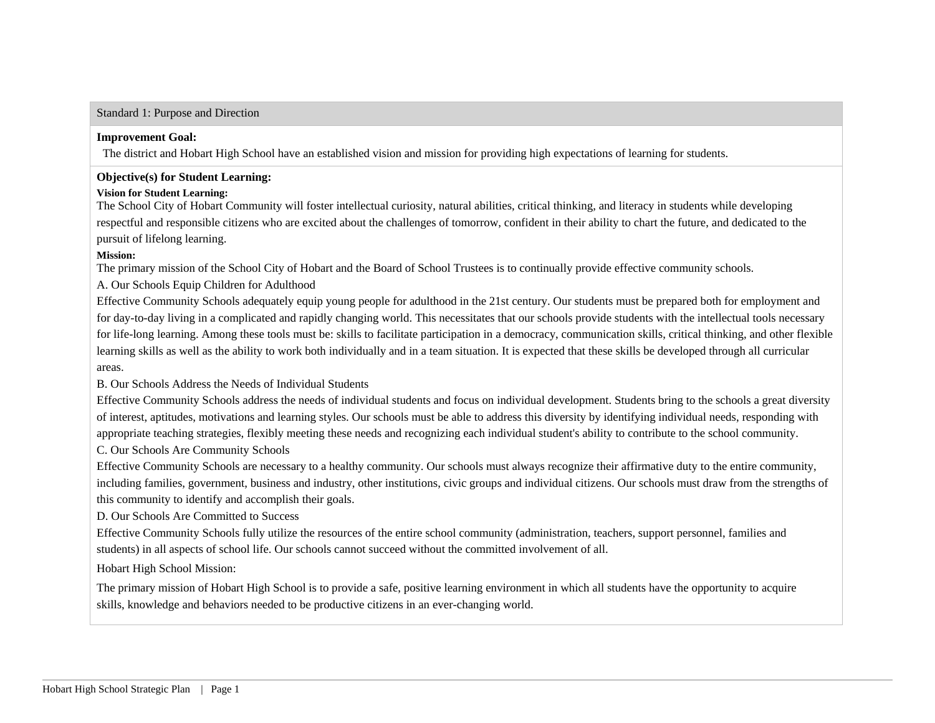#### Standard 1: Purpose and Direction

#### **Improvement Goal:**

The district and Hobart High School have an established vision and mission for providing high expectations of learning for students.

## **Objective(s) for Student Learning:**

## **Vision for Student Learning:**

The School City of Hobart Community will foster intellectual curiosity, natural abilities, critical thinking, and literacy in students while developing respectful and responsible citizens who are excited about the challenges of tomorrow, confident in their ability to chart the future, and dedicated to the pursuit of lifelong learning.

## **Mission:**

The primary mission of the School City of Hobart and the Board of School Trustees is to continually provide effective community schools.

A. Our Schools Equip Children for Adulthood

Effective Community Schools adequately equip young people for adulthood in the 21st century. Our students must be prepared both for employment and for day-to-day living in a complicated and rapidly changing world. This necessitates that our schools provide students with the intellectual tools necessary for life-long learning. Among these tools must be: skills to facilitate participation in a democracy, communication skills, critical thinking, and other flexible learning skills as well as the ability to work both individually and in a team situation. It is expected that these skills be developed through all curricular areas.

B. Our Schools Address the Needs of Individual Students

Effective Community Schools address the needs of individual students and focus on individual development. Students bring to the schools a great diversity of interest, aptitudes, motivations and learning styles. Our schools must be able to address this diversity by identifying individual needs, responding with appropriate teaching strategies, flexibly meeting these needs and recognizing each individual student's ability to contribute to the school community.

C. Our Schools Are Community Schools

Effective Community Schools are necessary to a healthy community. Our schools must always recognize their affirmative duty to the entire community, including families, government, business and industry, other institutions, civic groups and individual citizens. Our schools must draw from the strengths of this community to identify and accomplish their goals.

D. Our Schools Are Committed to Success

Effective Community Schools fully utilize the resources of the entire school community (administration, teachers, support personnel, families and students) in all aspects of school life. Our schools cannot succeed without the committed involvement of all.

## Hobart High School Mission:

The primary mission of Hobart High School is to provide a safe, positive learning environment in which all students have the opportunity to acquire skills, knowledge and behaviors needed to be productive citizens in an ever-changing world.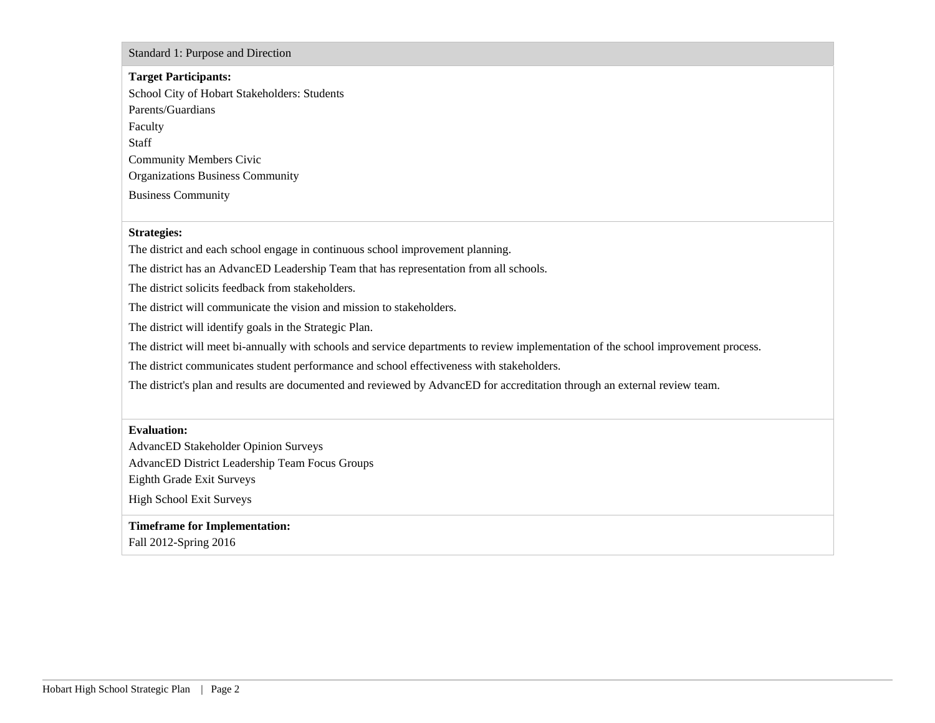Standard 1: Purpose and Direction

#### **Target Participants:**

School City of Hobart Stakeholders: Students Parents/Guardians Faculty Staff Community Members Civic Organizations Business Community Business Community

#### **Strategies:**

The district and each school engage in continuous school improvement planning.

The district has an AdvancED Leadership Team that has representation from all schools.

The district solicits feedback from stakeholders.

The district will communicate the vision and mission to stakeholders.

The district will identify goals in the Strategic Plan.

The district will meet bi-annually with schools and service departments to review implementation of the school improvement process.

The district communicates student performance and school effectiveness with stakeholders.

The district's plan and results are documented and reviewed by AdvancED for accreditation through an external review team.

#### **Evaluation:**

AdvancED Stakeholder Opinion Surveys AdvancED District Leadership Team Focus Groups

Eighth Grade Exit Surveys

High School Exit Surveys

### **Timeframe for Implementation:**

Fall 2012-Spring 2016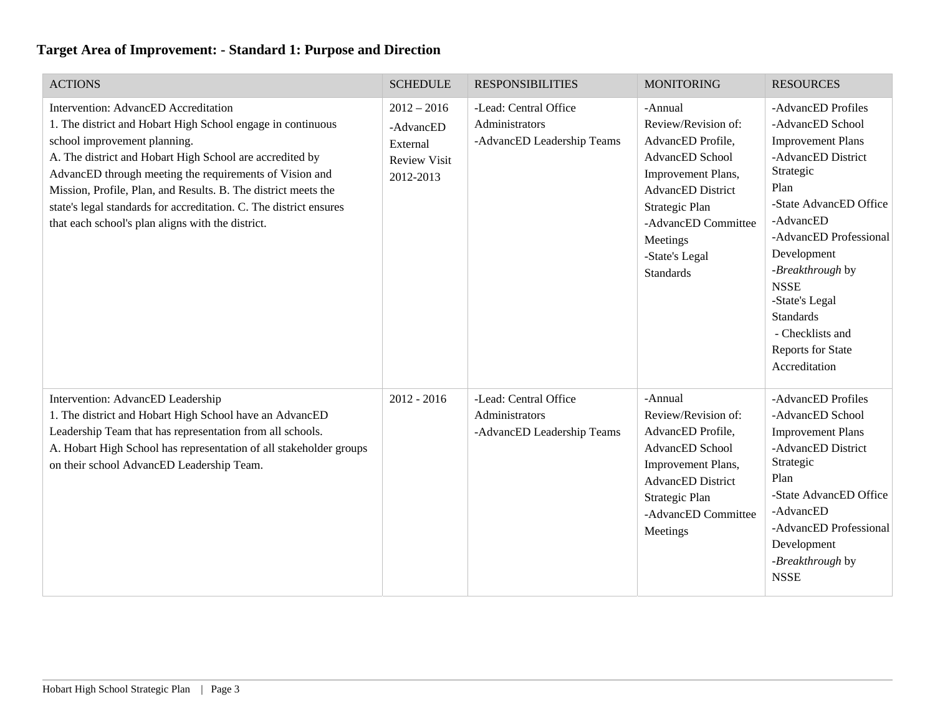| <b>ACTIONS</b>                                                                                                                                                                                                                                                                                                                                                                                                                                          | <b>SCHEDULE</b>                                                            | <b>RESPONSIBILITIES</b>                                               | <b>MONITORING</b>                                                                                                                                                                                                   | <b>RESOURCES</b>                                                                                                                                                                                                                                                                                                                        |
|---------------------------------------------------------------------------------------------------------------------------------------------------------------------------------------------------------------------------------------------------------------------------------------------------------------------------------------------------------------------------------------------------------------------------------------------------------|----------------------------------------------------------------------------|-----------------------------------------------------------------------|---------------------------------------------------------------------------------------------------------------------------------------------------------------------------------------------------------------------|-----------------------------------------------------------------------------------------------------------------------------------------------------------------------------------------------------------------------------------------------------------------------------------------------------------------------------------------|
| Intervention: AdvancED Accreditation<br>1. The district and Hobart High School engage in continuous<br>school improvement planning.<br>A. The district and Hobart High School are accredited by<br>AdvancED through meeting the requirements of Vision and<br>Mission, Profile, Plan, and Results. B. The district meets the<br>state's legal standards for accreditation. C. The district ensures<br>that each school's plan aligns with the district. | $2012 - 2016$<br>-AdvancED<br>External<br><b>Review Visit</b><br>2012-2013 | -Lead: Central Office<br>Administrators<br>-AdvancED Leadership Teams | -Annual<br>Review/Revision of:<br>AdvancED Profile,<br>AdvancED School<br>Improvement Plans,<br><b>AdvancED</b> District<br>Strategic Plan<br>-AdvancED Committee<br>Meetings<br>-State's Legal<br><b>Standards</b> | -AdvancED Profiles<br>-AdvancED School<br><b>Improvement Plans</b><br>-AdvancED District<br>Strategic<br>Plan<br>-State AdvancED Office<br>-AdvancED<br>-AdvancED Professional<br>Development<br>-Breakthrough by<br><b>NSSE</b><br>-State's Legal<br><b>Standards</b><br>- Checklists and<br><b>Reports for State</b><br>Accreditation |
| Intervention: AdvancED Leadership<br>1. The district and Hobart High School have an AdvancED<br>Leadership Team that has representation from all schools.<br>A. Hobart High School has representation of all stakeholder groups<br>on their school AdvancED Leadership Team.                                                                                                                                                                            | $2012 - 2016$                                                              | -Lead: Central Office<br>Administrators<br>-AdvancED Leadership Teams | -Annual<br>Review/Revision of:<br>AdvancED Profile,<br>AdvancED School<br>Improvement Plans,<br><b>AdvancED</b> District<br>Strategic Plan<br>-AdvancED Committee<br>Meetings                                       | -AdvancED Profiles<br>-AdvancED School<br><b>Improvement Plans</b><br>-AdvancED District<br>Strategic<br>Plan<br>-State AdvancED Office<br>-AdvancED<br>-AdvancED Professional<br>Development<br>-Breakthrough by<br><b>NSSE</b>                                                                                                        |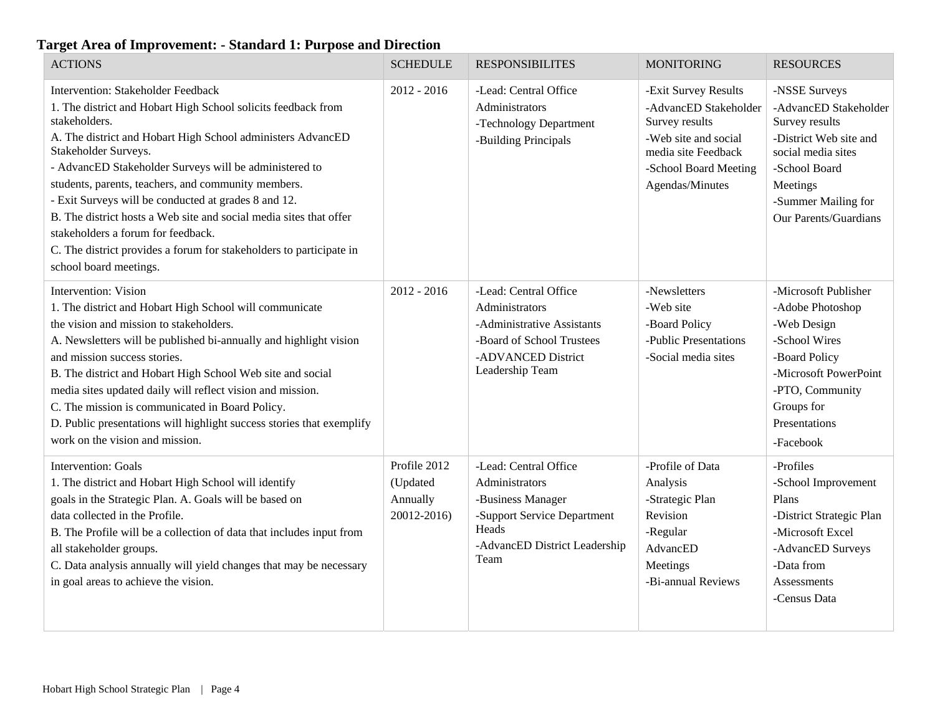| <b>ACTIONS</b>                                                                                                                                                                                                                                                                                                                                                                                                                                                                                                                                                                                    | <b>SCHEDULE</b>                                     | <b>RESPONSIBILITES</b>                                                                                                                        | <b>MONITORING</b>                                                                                                                                          | <b>RESOURCES</b>                                                                                                                                                                      |
|---------------------------------------------------------------------------------------------------------------------------------------------------------------------------------------------------------------------------------------------------------------------------------------------------------------------------------------------------------------------------------------------------------------------------------------------------------------------------------------------------------------------------------------------------------------------------------------------------|-----------------------------------------------------|-----------------------------------------------------------------------------------------------------------------------------------------------|------------------------------------------------------------------------------------------------------------------------------------------------------------|---------------------------------------------------------------------------------------------------------------------------------------------------------------------------------------|
| Intervention: Stakeholder Feedback<br>1. The district and Hobart High School solicits feedback from<br>stakeholders.<br>A. The district and Hobart High School administers AdvancED<br>Stakeholder Surveys.<br>- AdvancED Stakeholder Surveys will be administered to<br>students, parents, teachers, and community members.<br>- Exit Surveys will be conducted at grades 8 and 12.<br>B. The district hosts a Web site and social media sites that offer<br>stakeholders a forum for feedback.<br>C. The district provides a forum for stakeholders to participate in<br>school board meetings. | $2012 - 2016$                                       | -Lead: Central Office<br>Administrators<br>-Technology Department<br>-Building Principals                                                     | -Exit Survey Results<br>-AdvancED Stakeholder<br>Survey results<br>-Web site and social<br>media site Feedback<br>-School Board Meeting<br>Agendas/Minutes | -NSSE Surveys<br>-AdvancED Stakeholder<br>Survey results<br>-District Web site and<br>social media sites<br>-School Board<br>Meetings<br>-Summer Mailing for<br>Our Parents/Guardians |
| Intervention: Vision<br>1. The district and Hobart High School will communicate<br>the vision and mission to stakeholders.<br>A. Newsletters will be published bi-annually and highlight vision<br>and mission success stories.<br>B. The district and Hobart High School Web site and social<br>media sites updated daily will reflect vision and mission.<br>C. The mission is communicated in Board Policy.<br>D. Public presentations will highlight success stories that exemplify<br>work on the vision and mission.                                                                        | $2012 - 2016$                                       | -Lead: Central Office<br>Administrators<br>-Administrative Assistants<br>-Board of School Trustees<br>-ADVANCED District<br>Leadership Team   | -Newsletters<br>-Web site<br>-Board Policy<br>-Public Presentations<br>-Social media sites                                                                 | -Microsoft Publisher<br>-Adobe Photoshop<br>-Web Design<br>-School Wires<br>-Board Policy<br>-Microsoft PowerPoint<br>-PTO, Community<br>Groups for<br>Presentations<br>-Facebook     |
| <b>Intervention: Goals</b><br>1. The district and Hobart High School will identify<br>goals in the Strategic Plan. A. Goals will be based on<br>data collected in the Profile.<br>B. The Profile will be a collection of data that includes input from<br>all stakeholder groups.<br>C. Data analysis annually will yield changes that may be necessary<br>in goal areas to achieve the vision.                                                                                                                                                                                                   | Profile 2012<br>(Updated<br>Annually<br>20012-2016) | -Lead: Central Office<br>Administrators<br>-Business Manager<br>-Support Service Department<br>Heads<br>-AdvancED District Leadership<br>Team | -Profile of Data<br>Analysis<br>-Strategic Plan<br>Revision<br>-Regular<br>AdvancED<br>Meetings<br>-Bi-annual Reviews                                      | -Profiles<br>-School Improvement<br>Plans<br>-District Strategic Plan<br>-Microsoft Excel<br>-AdvancED Surveys<br>-Data from<br><b>Assessments</b><br>-Census Data                    |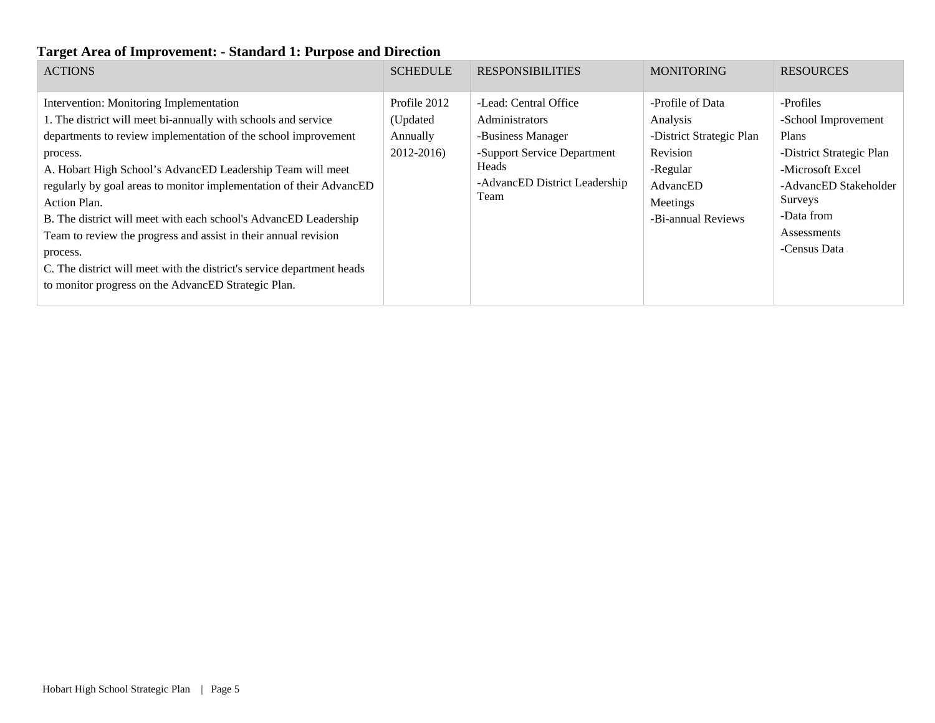| <b>ACTIONS</b>                                                                                                                                                                                                                                                                                                                                                                                                                                                                                                                                                                                                                   | <b>SCHEDULE</b>                                    | <b>RESPONSIBILITIES</b>                                                                                                                              | <b>MONITORING</b>                                                                                                              | <b>RESOURCES</b>                                                                                                                                                           |
|----------------------------------------------------------------------------------------------------------------------------------------------------------------------------------------------------------------------------------------------------------------------------------------------------------------------------------------------------------------------------------------------------------------------------------------------------------------------------------------------------------------------------------------------------------------------------------------------------------------------------------|----------------------------------------------------|------------------------------------------------------------------------------------------------------------------------------------------------------|--------------------------------------------------------------------------------------------------------------------------------|----------------------------------------------------------------------------------------------------------------------------------------------------------------------------|
| Intervention: Monitoring Implementation<br>1. The district will meet bi-annually with schools and service<br>departments to review implementation of the school improvement<br>process.<br>A. Hobart High School's AdvancED Leadership Team will meet<br>regularly by goal areas to monitor implementation of their AdvancED<br>Action Plan.<br>B. The district will meet with each school's AdvancED Leadership<br>Team to review the progress and assist in their annual revision<br>process.<br>C. The district will meet with the district's service department heads<br>to monitor progress on the AdvancED Strategic Plan. | Profile 2012<br>(Updated<br>Annually<br>2012-2016) | -Lead: Central Office<br><b>Administrators</b><br>-Business Manager<br>-Support Service Department<br>Heads<br>-AdvancED District Leadership<br>Team | -Profile of Data<br>Analysis<br>-District Strategic Plan<br>Revision<br>-Regular<br>AdvancED<br>Meetings<br>-Bi-annual Reviews | -Profiles<br>-School Improvement<br>Plans<br>-District Strategic Plan<br>-Microsoft Excel<br>-AdvancED Stakeholder<br>Surveys<br>-Data from<br>Assessments<br>-Census Data |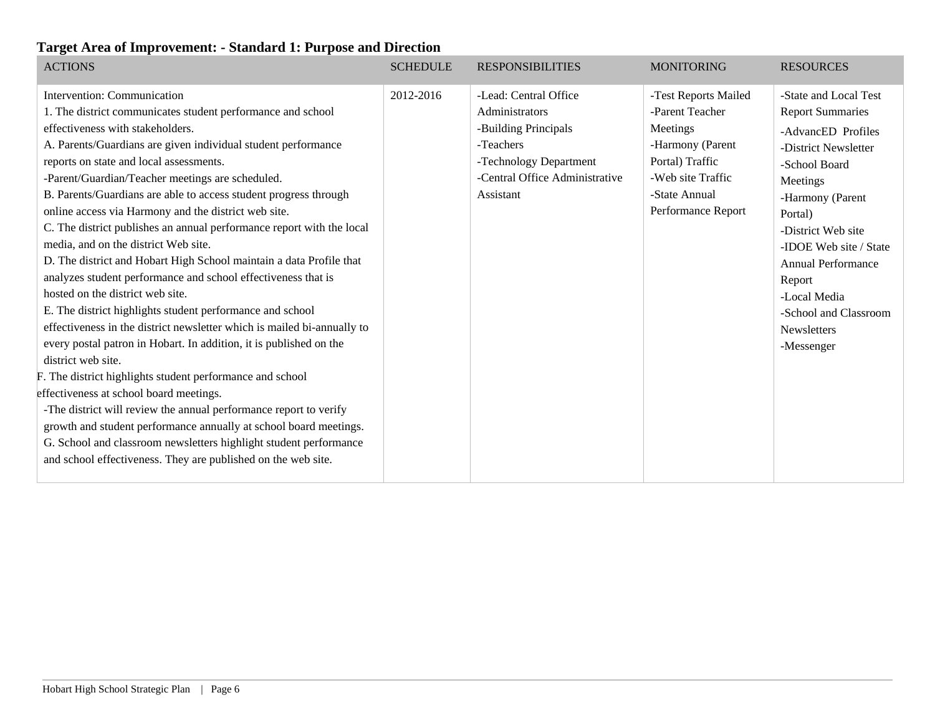| <b>ACTIONS</b>                                                                                                                                                                                                                                                                                                                                                                                                                                                                                                                                                                                                                                                                                                                                                                                                                                                                                                                                                                                                                                                                                                                                                                                                                                                                                                                                      | <b>SCHEDULE</b> | <b>RESPONSIBILITIES</b>                                                                                                                               | <b>MONITORING</b>                                                                                                                                      | <b>RESOURCES</b>                                                                                                                                                                                                                                                                                                        |
|-----------------------------------------------------------------------------------------------------------------------------------------------------------------------------------------------------------------------------------------------------------------------------------------------------------------------------------------------------------------------------------------------------------------------------------------------------------------------------------------------------------------------------------------------------------------------------------------------------------------------------------------------------------------------------------------------------------------------------------------------------------------------------------------------------------------------------------------------------------------------------------------------------------------------------------------------------------------------------------------------------------------------------------------------------------------------------------------------------------------------------------------------------------------------------------------------------------------------------------------------------------------------------------------------------------------------------------------------------|-----------------|-------------------------------------------------------------------------------------------------------------------------------------------------------|--------------------------------------------------------------------------------------------------------------------------------------------------------|-------------------------------------------------------------------------------------------------------------------------------------------------------------------------------------------------------------------------------------------------------------------------------------------------------------------------|
| Intervention: Communication<br>1. The district communicates student performance and school<br>effectiveness with stakeholders.<br>A. Parents/Guardians are given individual student performance<br>reports on state and local assessments.<br>-Parent/Guardian/Teacher meetings are scheduled.<br>B. Parents/Guardians are able to access student progress through<br>online access via Harmony and the district web site.<br>C. The district publishes an annual performance report with the local<br>media, and on the district Web site.<br>D. The district and Hobart High School maintain a data Profile that<br>analyzes student performance and school effectiveness that is<br>hosted on the district web site.<br>E. The district highlights student performance and school<br>effectiveness in the district newsletter which is mailed bi-annually to<br>every postal patron in Hobart. In addition, it is published on the<br>district web site.<br>F. The district highlights student performance and school<br>effectiveness at school board meetings.<br>-The district will review the annual performance report to verify<br>growth and student performance annually at school board meetings.<br>G. School and classroom newsletters highlight student performance<br>and school effectiveness. They are published on the web site. | 2012-2016       | -Lead: Central Office<br>Administrators<br>-Building Principals<br>-Teachers<br>-Technology Department<br>-Central Office Administrative<br>Assistant | -Test Reports Mailed<br>-Parent Teacher<br>Meetings<br>-Harmony (Parent<br>Portal) Traffic<br>-Web site Traffic<br>-State Annual<br>Performance Report | -State and Local Test<br><b>Report Summaries</b><br>-AdvancED Profiles<br>-District Newsletter<br>-School Board<br>Meetings<br>-Harmony (Parent<br>Portal)<br>-District Web site<br>-IDOE Web site / State<br><b>Annual Performance</b><br>Report<br>-Local Media<br>-School and Classroom<br>Newsletters<br>-Messenger |
|                                                                                                                                                                                                                                                                                                                                                                                                                                                                                                                                                                                                                                                                                                                                                                                                                                                                                                                                                                                                                                                                                                                                                                                                                                                                                                                                                     |                 |                                                                                                                                                       |                                                                                                                                                        |                                                                                                                                                                                                                                                                                                                         |